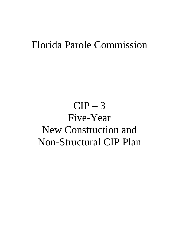### Florida Parole Commission

# $CIP-3$ Five-Year New Construction and Non-Structural CIP Plan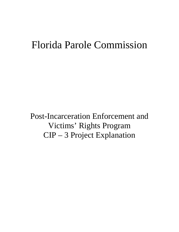## Florida Parole Commission

Post-Incarceration Enforcement and Victims' Rights Program CIP – 3 Project Explanation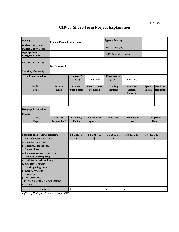#### **CIP-3: Short-Term Project Explanation**

| Agency:                                                | <b>Florida Parole Commission</b> |                                      |                                         | <b>Agency Priority:</b>            |                                                |                          |                                    |
|--------------------------------------------------------|----------------------------------|--------------------------------------|-----------------------------------------|------------------------------------|------------------------------------------------|--------------------------|------------------------------------|
| <b>Budget Entity and</b><br><b>Budget Entity Code:</b> |                                  |                                      |                                         | <b>Project Category:</b>           |                                                |                          |                                    |
| <b>Appropriation</b><br><b>Category Code:</b>          |                                  |                                      |                                         | <b>LRPP Narrative Page:</b>        |                                                |                          |                                    |
| <b>PROJECT TITLE:</b>                                  | Not Applicable.                  |                                      |                                         |                                    |                                                |                          |                                    |
| <b>Statutory Authority:</b>                            |                                  |                                      |                                         |                                    |                                                |                          |                                    |
| To be Constructed by:                                  |                                  | Contract?<br>(Y/N)                   | YES NO                                  | <b>Force Acct.?</b><br>(Y/N)       | YES NO                                         |                          |                                    |
| <b>Facility</b><br><b>Type</b>                         | Service<br>Load                  | <b>Planned</b><br><b>Used Factor</b> | <b>User Stations</b><br><b>Required</b> | <b>Existing</b><br><b>Stations</b> | <b>New User</b><br><b>Stations</b><br>Required | <b>Space</b><br>Factor   | <b>Net Area</b><br><b>Required</b> |
|                                                        |                                  |                                      |                                         |                                    |                                                |                          |                                    |
| <b>Geographic Location:</b>                            |                                  |                                      |                                         |                                    |                                                |                          |                                    |
| <b>County:</b>                                         |                                  |                                      |                                         |                                    |                                                |                          |                                    |
| <b>Facility</b><br><b>Type</b>                         | <b>Net Area</b><br>(square feet) | <b>Efficiency</b><br>Factor          | <b>Gross Area</b><br>(square feet)      | <b>Unit Cost</b>                   | Construction<br>Cost                           | Occupancy<br><b>Date</b> |                                    |
|                                                        |                                  |                                      |                                         |                                    |                                                |                          |                                    |
| <b>Schedule of Project Components</b>                  |                                  | FY 2013-14                           | FY 2014-15                              | FY 2015-16                         | FY 2016-17                                     | FY 2016-17               |                                    |
| <b>1. Basic Construction Costs</b>                     |                                  | \$                                   | \$                                      | \$                                 | \$                                             | \$                       |                                    |
| a. Construction Cost                                   |                                  |                                      |                                         |                                    |                                                |                          |                                    |
| b. Permits, Inspections,<br><b>Impact Fees</b>         |                                  |                                      |                                         |                                    |                                                |                          |                                    |
| c. Communication requirements                          |                                  |                                      |                                         |                                    |                                                |                          |                                    |
| (conduits, wiring, etc.)                               |                                  |                                      |                                         |                                    |                                                |                          |                                    |
| d. Utilities outside building                          |                                  |                                      |                                         |                                    |                                                |                          |                                    |
| e. Site Development                                    |                                  |                                      |                                         |                                    |                                                |                          |                                    |
| (roads, paving, etc.)<br>f. Energy efficient           |                                  |                                      |                                         |                                    |                                                |                          |                                    |
| equipment                                              |                                  |                                      |                                         |                                    |                                                |                          |                                    |
| g. Art allowance                                       |                                  |                                      |                                         |                                    |                                                |                          |                                    |
| (Section 255.043, Florida Statutes)                    |                                  |                                      |                                         |                                    |                                                |                          |                                    |
| h. Other                                               |                                  |                                      |                                         |                                    |                                                |                          |                                    |
| Subtotal:                                              |                                  | \$                                   | \$                                      | \$                                 | \$                                             | \$                       |                                    |

*Office of Policy and Budget - July 2012*